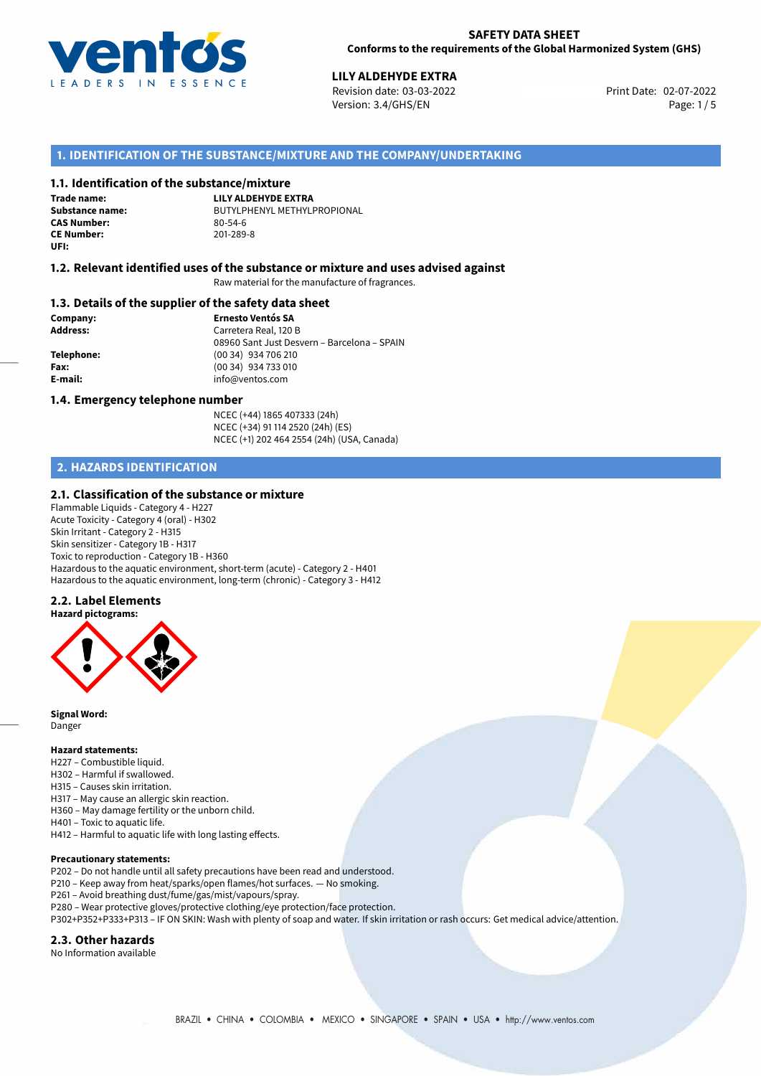

02-07-2022 **LILY ALDEHYDE EXTRA** Revision date: 03-03-2022 Print Date: Version: 3.4/GHS/EN Page: 1/5

# **1. IDENTIFICATION OF THE SUBSTANCE/MIXTURE AND THE COMPANY/UNDERTAKING**

### **1.1. Identification of the substance/mixture**

**Trade name: CAS Number: CE Number:** 201-289-8 **UFI:**

**LILY ALDEHYDE EXTRA Substance name:** BUTYLPHENYL METHYLPROPIONAL<br> **CAS Number:** 80-54-6

### **1.2. Relevant identified uses of the substance or mixture and uses advised against**

Raw material for the manufacture of fragrances.

#### **1.3. Details of the supplier of the safety data sheet**

**Company: Ernesto Ventós SA Address:** Carretera Real, 120 B 08960 Sant Just Desvern – Barcelona – SPAIN **Telephone:** (00 34) 934 706 210 **Fax:** (00 34) 934 733 010 **E-mail:** info@ventos.com

#### **1.4. Emergency telephone number**

NCEC (+44) 1865 407333 (24h) NCEC (+34) 91 114 2520 (24h) (ES) NCEC (+1) 202 464 2554 (24h) (USA, Canada)

# **2. HAZARDS IDENTIFICATION**

#### **2.1. Classification of the substance or mixture**

Flammable Liquids - Category 4 - H227 Acute Toxicity - Category 4 (oral) - H302 Skin Irritant - Category 2 - H315 Skin sensitizer - Category 1B - H317 Toxic to reproduction - Category 1B - H360 Hazardous to the aquatic environment, short-term (acute) - Category 2 - H401 Hazardous to the aquatic environment, long-term (chronic) - Category 3 - H412

#### **2.2. Label Elements**



**Signal Word:** Danger

#### **Hazard statements:**

- H227 Combustible liquid.
- H302 Harmful if swallowed.
- H315 Causes skin irritation.
- H317 May cause an allergic skin reaction.
- H360 May damage fertility or the unborn child.
- H401 Toxic to aquatic life.
- H412 Harmful to aquatic life with long lasting effects.

#### **Precautionary statements:**

- P202 Do not handle until all safety precautions have been read and understood.
- P210 Keep away from heat/sparks/open flames/hot surfaces. No smoking.
- P261 Avoid breathing dust/fume/gas/mist/vapours/spray.
- P280 Wear protective gloves/protective clothing/eye protection/face protection.
- P302+P352+P333+P313 IF ON SKIN: Wash with plenty of soap and water. If skin irritation or rash occurs: Get medical advice/attention.

#### **2.3. Other hazards**

No Information available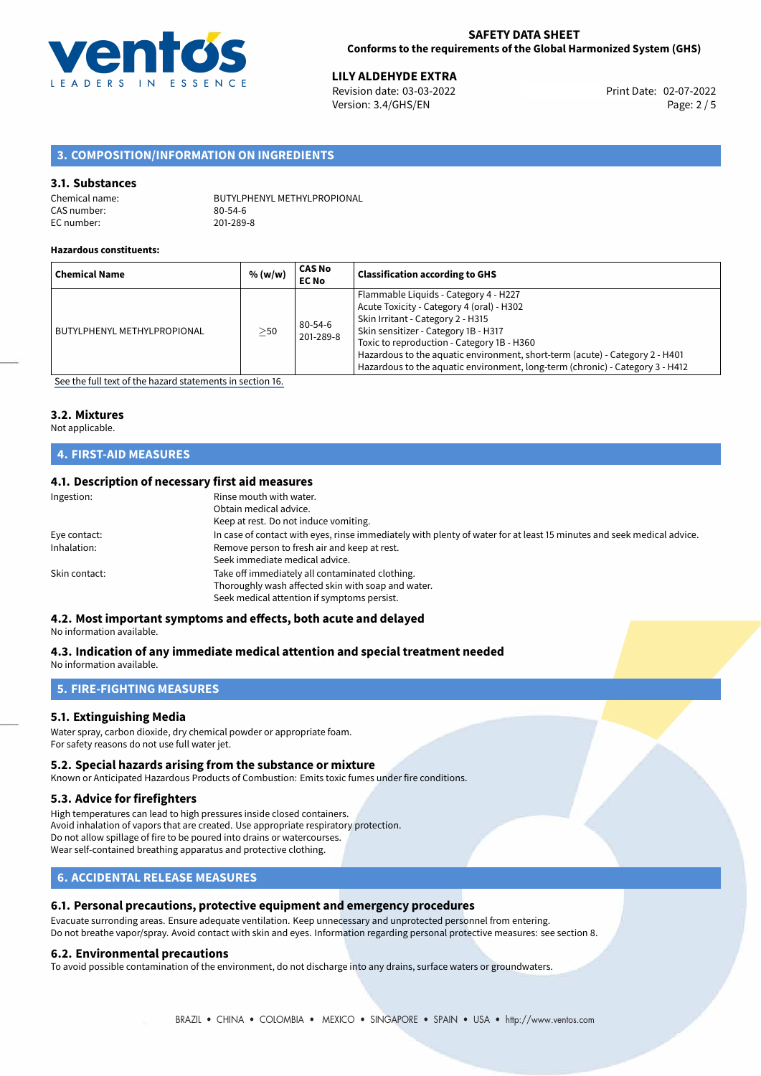

02-07-2022 **LILY ALDEHYDE EXTRA** Revision date: 03-03-2022 Print Date: Version: 3.4/GHS/EN Page: 2 / 5

# **3. COMPOSITION/INFORMATION ON INGREDIENTS**

#### **3.1. Substances**

Chemical name: BUTYLPHENYL METHYLPROPIONAL CAS number: 80-54-6<br>EC number: 201-289-8 EC number:

#### **Hazardous constituents:**

| <b>Chemical Name</b>        | % (w/w)   | CAS No<br><b>EC No</b>     | <b>Classification according to GHS</b>                                                                                                                                                                                                                                                                                                                                         |
|-----------------------------|-----------|----------------------------|--------------------------------------------------------------------------------------------------------------------------------------------------------------------------------------------------------------------------------------------------------------------------------------------------------------------------------------------------------------------------------|
| BUTYLPHENYL METHYLPROPIONAL | $\geq$ 50 | $80 - 54 - 6$<br>201-289-8 | Flammable Liquids - Category 4 - H227<br>Acute Toxicity - Category 4 (oral) - H302<br>Skin Irritant - Category 2 - H315<br>Skin sensitizer - Category 1B - H317<br>Toxic to reproduction - Category 1B - H360<br>Hazardous to the aquatic environment, short-term (acute) - Category 2 - H401<br>Hazardous to the aquatic environment, long-term (chronic) - Category 3 - H412 |

[See the full text of the hazard statements in section 16.](#page-4-0)

### **3.2. Mixtures**

Not applicable.

# **4. FIRST-AID MEASURES**

### **4.1. Description of necessary first aid measures**

| Ingestion:    | Rinse mouth with water.                                                                                               |
|---------------|-----------------------------------------------------------------------------------------------------------------------|
|               | Obtain medical advice.                                                                                                |
|               | Keep at rest. Do not induce vomiting.                                                                                 |
| Eye contact:  | In case of contact with eyes, rinse immediately with plenty of water for at least 15 minutes and seek medical advice. |
| Inhalation:   | Remove person to fresh air and keep at rest.                                                                          |
|               | Seek immediate medical advice.                                                                                        |
| Skin contact: | Take off immediately all contaminated clothing.                                                                       |
|               | Thoroughly wash affected skin with soap and water.                                                                    |
|               | Seek medical attention if symptoms persist.                                                                           |
|               |                                                                                                                       |

# **4.2. Most important symptoms and effects, both acute and delayed**

No information available.

#### **4.3. Indication of any immediate medical attention and special treatment needed** No information available.

# **5. FIRE-FIGHTING MEASURES**

#### **5.1. Extinguishing Media**

Water spray, carbon dioxide, dry chemical powder or appropriate foam. For safety reasons do not use full water jet.

#### **5.2. Special hazards arising from the substance or mixture**

Known or Anticipated Hazardous Products of Combustion: Emits toxic fumes under fire conditions.

#### **5.3. Advice for firefighters**

High temperatures can lead to high pressures inside closed containers. Avoid inhalation of vapors that are created. Use appropriate respiratory protection. Do not allow spillage of fire to be poured into drains or watercourses. Wear self-contained breathing apparatus and protective clothing.

# **6. ACCIDENTAL RELEASE MEASURES**

#### **6.1. Personal precautions, protective equipment and emergency procedures**

Evacuate surronding areas. Ensure adequate ventilation. Keep unnecessary and unprotected personnel from entering. Do not breathe vapor/spray. Avoid contact with skin and eyes. Information regarding personal protective measures: see section 8.

#### **6.2. Environmental precautions**

To avoid possible contamination of the environment, do not discharge into any drains, surface waters or groundwaters.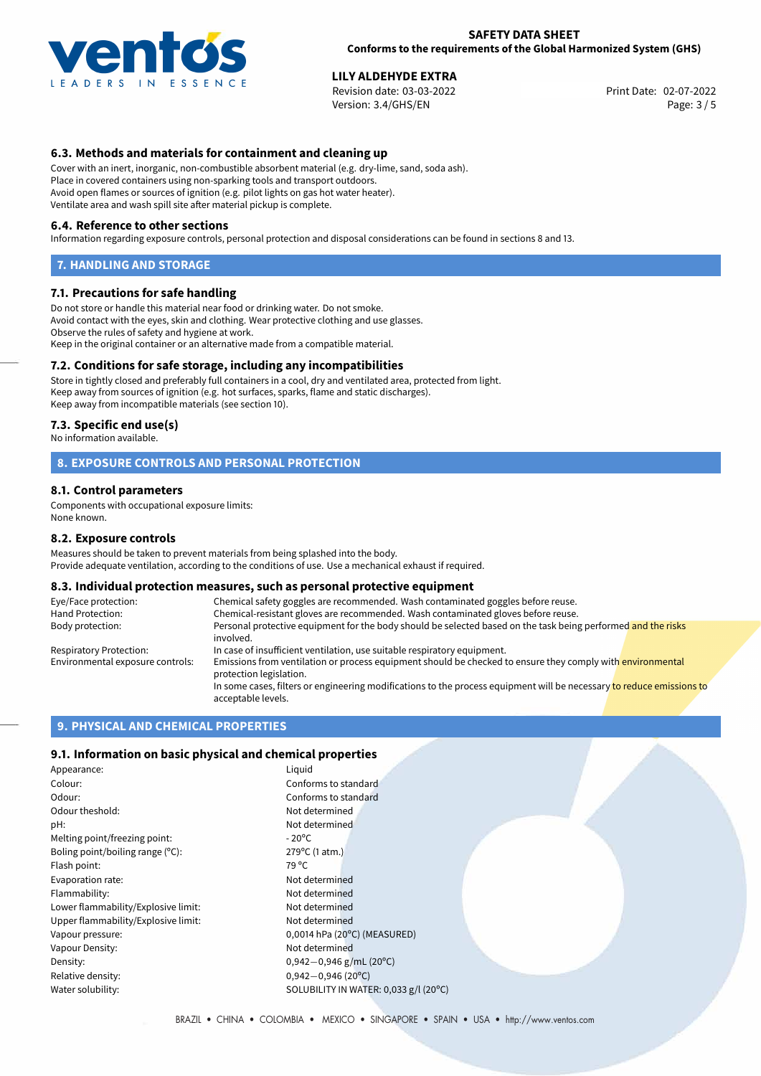

02-07-2022 **LILY ALDEHYDE EXTRA** Revision date: 03-03-2022 Print Date: Version: 3.4/GHS/EN Page: 3 / 5

# **6.3. Methods and materials for containment and cleaning up**

Cover with an inert, inorganic, non-combustible absorbent material (e.g. dry-lime, sand, soda ash). Place in covered containers using non-sparking tools and transport outdoors. Avoid open flames or sources of ignition (e.g. pilot lights on gas hot water heater). Ventilate area and wash spill site after material pickup is complete.

#### **6.4. Reference to other sections**

Information regarding exposure controls, personal protection and disposal considerations can be found in sections 8 and 13.

#### **7. HANDLING AND STORAGE**

#### **7.1. Precautions for safe handling**

Do not store or handle this material near food or drinking water. Do not smoke. Avoid contact with the eyes, skin and clothing. Wear protective clothing and use glasses. Observe the rules of safety and hygiene at work. Keep in the original container or an alternative made from a compatible material.

### **7.2. Conditions for safe storage, including any incompatibilities**

Store in tightly closed and preferably full containers in a cool, dry and ventilated area, protected from light. Keep away from sources of ignition (e.g. hot surfaces, sparks, flame and static discharges). Keep away from incompatible materials (see section 10).

#### **7.3. Specific end use(s)**

No information available.

### **8. EXPOSURE CONTROLS AND PERSONAL PROTECTION**

#### **8.1. Control parameters**

Components with occupational exposure limits: None known.

#### **8.2. Exposure controls**

Measures should be taken to prevent materials from being splashed into the body. Provide adequate ventilation, according to the conditions of use. Use a mechanical exhaust if required.

#### **8.3. Individual protection measures, such as personal protective equipment**

| Eye/Face protection:             | Chemical safety goggles are recommended. Wash contaminated goggles before reuse.                                                            |  |  |  |
|----------------------------------|---------------------------------------------------------------------------------------------------------------------------------------------|--|--|--|
| Hand Protection:                 | Chemical-resistant gloves are recommended. Wash contaminated gloves before reuse.                                                           |  |  |  |
| Body protection:                 | Personal protective equipment for the body should be selected based on the task being performed and the risks<br>involved.                  |  |  |  |
| Respiratory Protection:          | In case of insufficient ventilation, use suitable respiratory equipment.                                                                    |  |  |  |
| Environmental exposure controls: | Emissions from ventilation or process equipment should be checked to ensure they comply with environmental<br>protection legislation.       |  |  |  |
|                                  | In some cases, filters or engineering modifications to the process equipment will be necessary to reduce emissions to<br>acceptable levels. |  |  |  |

#### **9. PHYSICAL AND CHEMICAL PROPERTIES**

#### **9.1. Information on basic physical and chemical properties**

| Liguid          |
|-----------------|
| Confo           |
| Confo           |
| Not de          |
| Not de          |
| $-20^{\circ}$ C |
| $279^{\circ}$ C |
| 79 °C           |
| Not de          |
| Not de          |
| Not de          |
| Not de          |
| 0,0014          |
| Not de          |
| $0,942 -$       |
| $0.942 -$       |
| <b>SOLUE</b>    |
|                 |

Conforms to standard Not determined Not determined 279°C (1 atm.) Not determined Not determined Not determined Not determined 0,0014 hPa (20°C) (MEASURED) Not determined Density: 0,942*−*0,946 g/mL (20ºC) Relative density: 0,942*−*0,946 (20ºC) SOLUBILITY IN WATER: 0,033 g/l (20°C)

Conforms to standard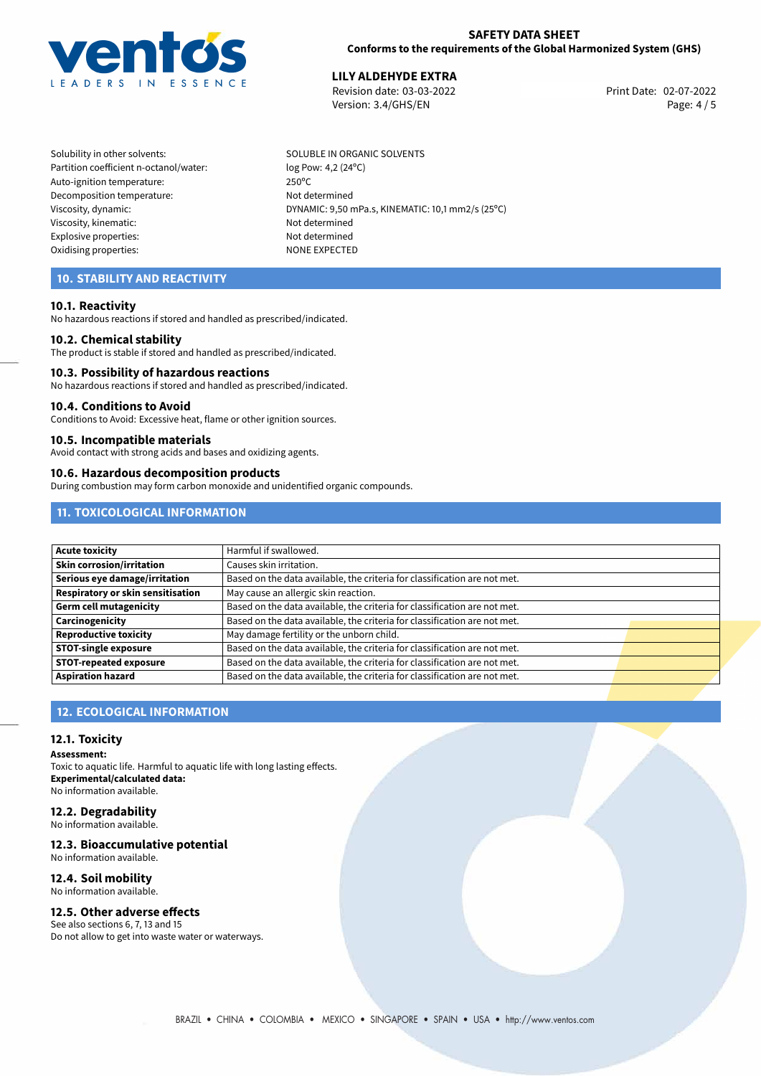

### **SAFETY DATA SHEET Conforms to the requirements of the Global Harmonized System (GHS)**

02-07-2022 **LILY ALDEHYDE EXTRA** Revision date: 03-03-2022 Print Date: Version: 3.4/GHS/EN Page: 4 / 5

Solubility in other solvents: SOLUBLE IN ORGANIC SOLVENTS Partition coefficient n-octanol/water: log Pow: 4,2 (24°C) Auto-ignition temperature: 250ºC Decomposition temperature: Not determined Viscosity, kinematic: Not determined Explosive properties: Not determined Oxidising properties: NONE EXPECTED

Viscosity, dynamic: <br>DYNAMIC: 9,50 mPa.s, KINEMATIC: 10,1 mm2/s (25°C)

# **10. STABILITY AND REACTIVITY**

### **10.1. Reactivity**

No hazardous reactions if stored and handled as prescribed/indicated.

#### **10.2. Chemical stability**

The product is stable if stored and handled as prescribed/indicated.

#### **10.3. Possibility of hazardous reactions**

No hazardous reactions if stored and handled as prescribed/indicated.

#### **10.4. Conditions to Avoid**

Conditions to Avoid: Excessive heat, flame or other ignition sources.

#### **10.5. Incompatible materials**

Avoid contact with strong acids and bases and oxidizing agents.

#### **10.6. Hazardous decomposition products**

During combustion may form carbon monoxide and unidentified organic compounds.

# **11. TOXICOLOGICAL INFORMATION**

| Acute toxicity                    | Harmful if swallowed.                                                     |  |
|-----------------------------------|---------------------------------------------------------------------------|--|
| <b>Skin corrosion/irritation</b>  | Causes skin irritation.                                                   |  |
| Serious eye damage/irritation     | Based on the data available, the criteria for classification are not met. |  |
| Respiratory or skin sensitisation | May cause an allergic skin reaction.                                      |  |
| Germ cell mutagenicity            | Based on the data available, the criteria for classification are not met. |  |
| <b>Carcinogenicity</b>            | Based on the data available, the criteria for classification are not met. |  |
| Reproductive toxicity             | May damage fertility or the unborn child.                                 |  |
| <b>STOT-single exposure</b>       | Based on the data available, the criteria for classification are not met. |  |
| <b>STOT-repeated exposure</b>     | Based on the data available, the criteria for classification are not met. |  |
| Aspiration hazard                 | Based on the data available, the criteria for classification are not met. |  |

# **12. ECOLOGICAL INFORMATION**

#### **12.1. Toxicity**

**Assessment:**

Toxic to aquatic life. Harmful to aquatic life with long lasting effects. **Experimental/calculated data:** No information available.

# **12.2. Degradability**

No information available.

### **12.3. Bioaccumulative potential**

No information available.

# **12.4. Soil mobility**

No information available.

# **12.5. Other adverse effects**

See also sections 6, 7, 13 and 15 Do not allow to get into waste water or waterways.